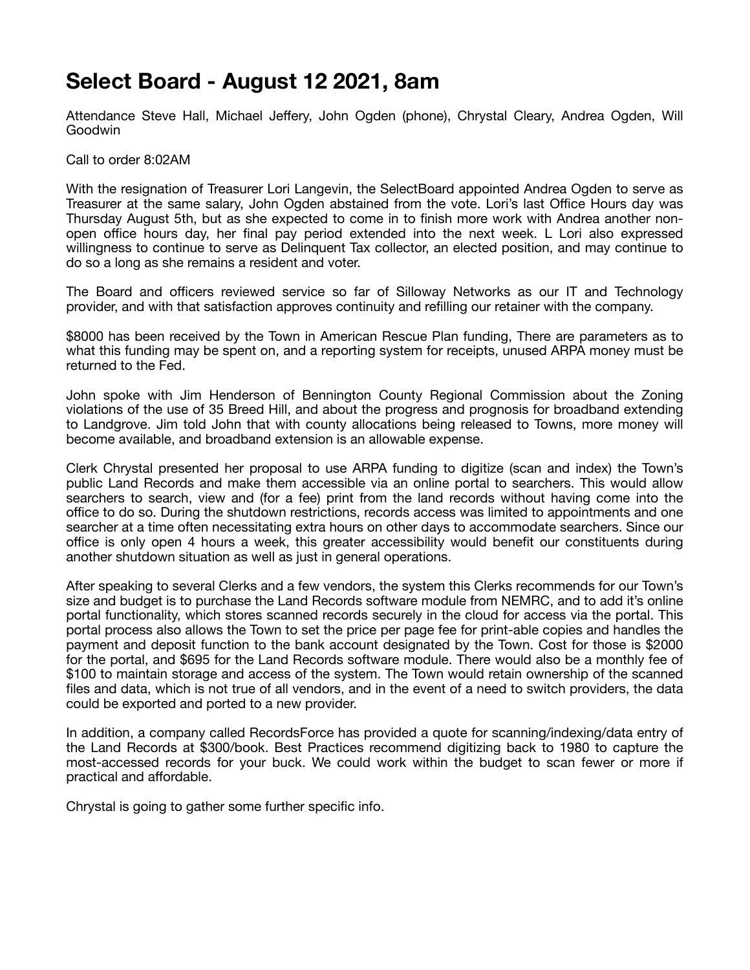## **Select Board - August 12 2021, 8am**

Attendance Steve Hall, Michael Jeffery, John Ogden (phone), Chrystal Cleary, Andrea Ogden, Will Goodwin

Call to order 8:02AM

With the resignation of Treasurer Lori Langevin, the SelectBoard appointed Andrea Ogden to serve as Treasurer at the same salary, John Ogden abstained from the vote. Lori's last Office Hours day was Thursday August 5th, but as she expected to come in to finish more work with Andrea another nonopen office hours day, her final pay period extended into the next week. L Lori also expressed willingness to continue to serve as Delinquent Tax collector, an elected position, and may continue to do so a long as she remains a resident and voter.

The Board and officers reviewed service so far of Silloway Networks as our IT and Technology provider, and with that satisfaction approves continuity and refilling our retainer with the company.

\$8000 has been received by the Town in American Rescue Plan funding, There are parameters as to what this funding may be spent on, and a reporting system for receipts, unused ARPA money must be returned to the Fed.

John spoke with Jim Henderson of Bennington County Regional Commission about the Zoning violations of the use of 35 Breed Hill, and about the progress and prognosis for broadband extending to Landgrove. Jim told John that with county allocations being released to Towns, more money will become available, and broadband extension is an allowable expense.

Clerk Chrystal presented her proposal to use ARPA funding to digitize (scan and index) the Town's public Land Records and make them accessible via an online portal to searchers. This would allow searchers to search, view and (for a fee) print from the land records without having come into the office to do so. During the shutdown restrictions, records access was limited to appointments and one searcher at a time often necessitating extra hours on other days to accommodate searchers. Since our office is only open 4 hours a week, this greater accessibility would benefit our constituents during another shutdown situation as well as just in general operations.

After speaking to several Clerks and a few vendors, the system this Clerks recommends for our Town's size and budget is to purchase the Land Records software module from NEMRC, and to add it's online portal functionality, which stores scanned records securely in the cloud for access via the portal. This portal process also allows the Town to set the price per page fee for print-able copies and handles the payment and deposit function to the bank account designated by the Town. Cost for those is \$2000 for the portal, and \$695 for the Land Records software module. There would also be a monthly fee of \$100 to maintain storage and access of the system. The Town would retain ownership of the scanned files and data, which is not true of all vendors, and in the event of a need to switch providers, the data could be exported and ported to a new provider.

In addition, a company called RecordsForce has provided a quote for scanning/indexing/data entry of the Land Records at \$300/book. Best Practices recommend digitizing back to 1980 to capture the most-accessed records for your buck. We could work within the budget to scan fewer or more if practical and affordable.

Chrystal is going to gather some further specific info.